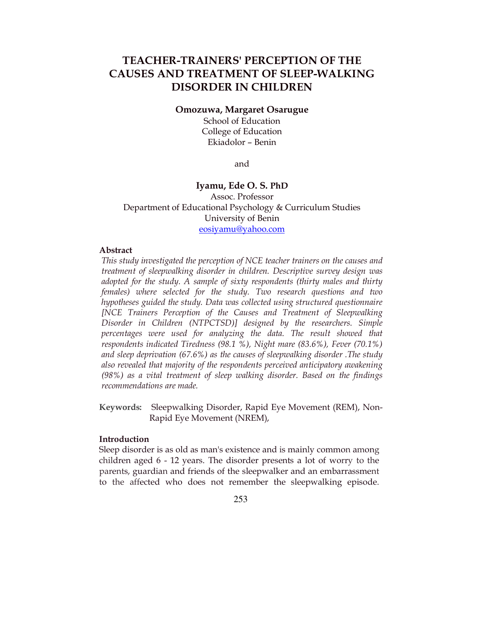# TEACHER-TRAINERS' PERCEPTION OF THE CAUSES AND TREATMENT OF SLEEP-WALKING DISORDER IN CHILDREN

## Omozuwa, Margaret Osarugue

School of Education College of Education Ekiadolor – Benin

and

# Iyamu, Ede O. S. PhD

Assoc. Professor Department of Educational Psychology & Curriculum Studies University of Benin eosiyamu@yahoo.com

## **Abstract**

This study investigated the perception of NCE teacher trainers on the causes and treatment of sleepwalking disorder in children. Descriptive survey design was adopted for the study. A sample of sixty respondents (thirty males and thirty females) where selected for the study. Two research questions and two hypotheses guided the study. Data was collected using structured questionnaire [NCE Trainers Perception of the Causes and Treatment of Sleepwalking Disorder in Children (NTPCTSD)] designed by the researchers. Simple percentages were used for analyzing the data. The result showed that respondents indicated Tiredness (98.1 %), Night mare (83.6%), Fever (70.1%) and sleep deprivation (67.6%) as the causes of sleepwalking disorder .The study also revealed that majority of the respondents perceived anticipatory awakening (98%) as a vital treatment of sleep walking disorder. Based on the findings recommendations are made.

Keywords: Sleepwalking Disorder, Rapid Eye Movement (REM), Non-Rapid Eye Movement (NREM),

## Introduction

Sleep disorder is as old as man's existence and is mainly common among children aged 6 - 12 years. The disorder presents a lot of worry to the parents, guardian and friends of the sleepwalker and an embarrassment to the affected who does not remember the sleepwalking episode.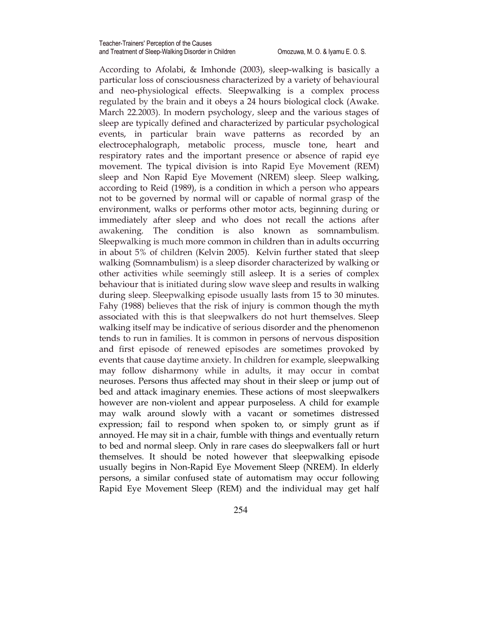According to Afolabi, & Imhonde (2003), sleep-walking is basically a particular loss of consciousness characterized by a variety of behavioural and neo-physiological effects. Sleepwalking is a complex process regulated by the brain and it obeys a 24 hours biological clock (Awake. March 22.2003). In modern psychology, sleep and the various stages of sleep are typically defined and characterized by particular psychological events, in particular brain wave patterns as recorded by an electrocephalograph, metabolic process, muscle tone, heart and respiratory rates and the important presence or absence of rapid eye movement. The typical division is into Rapid Eye Movement (REM) sleep and Non Rapid Eye Movement (NREM) sleep. Sleep walking, according to Reid (1989), is a condition in which a person who appears not to be governed by normal will or capable of normal grasp of the environment, walks or performs other motor acts, beginning during or immediately after sleep and who does not recall the actions after awakening. The condition is also known as somnambulism. Sleepwalking is much more common in children than in adults occurring in about 5% of children (Kelvin 2005). Kelvin further stated that sleep walking (Somnambulism) is a sleep disorder characterized by walking or other activities while seemingly still asleep. It is a series of complex behaviour that is initiated during slow wave sleep and results in walking during sleep. Sleepwalking episode usually lasts from 15 to 30 minutes. Fahy (1988) believes that the risk of injury is common though the myth associated with this is that sleepwalkers do not hurt themselves. Sleep walking itself may be indicative of serious disorder and the phenomenon tends to run in families. It is common in persons of nervous disposition and first episode of renewed episodes are sometimes provoked by events that cause daytime anxiety. In children for example, sleepwalking may follow disharmony while in adults, it may occur in combat neuroses. Persons thus affected may shout in their sleep or jump out of bed and attack imaginary enemies. These actions of most sleepwalkers however are non-violent and appear purposeless. A child for example may walk around slowly with a vacant or sometimes distressed expression; fail to respond when spoken to, or simply grunt as if annoyed. He may sit in a chair, fumble with things and eventually return to bed and normal sleep. Only in rare cases do sleepwalkers fall or hurt themselves. It should be noted however that sleepwalking episode usually begins in Non-Rapid Eye Movement Sleep (NREM). In elderly persons, a similar confused state of automatism may occur following Rapid Eye Movement Sleep (REM) and the individual may get half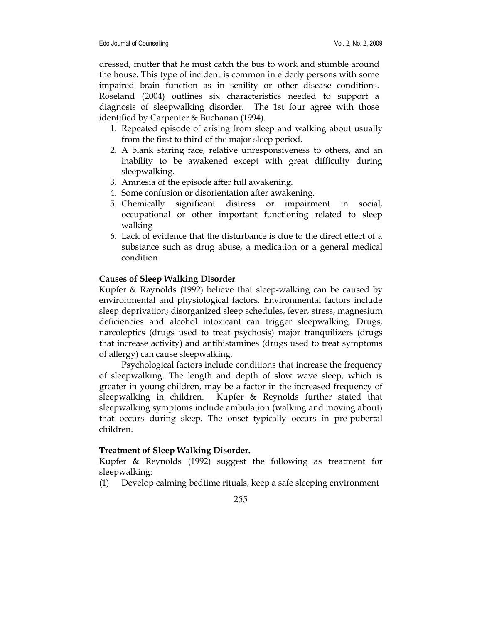dressed, mutter that he must catch the bus to work and stumble around the house. This type of incident is common in elderly persons with some impaired brain function as in senility or other disease conditions. Roseland (2004) outlines six characteristics needed to support a diagnosis of sleepwalking disorder. The 1st four agree with those identified by Carpenter & Buchanan (1994).

- 1. Repeated episode of arising from sleep and walking about usually from the first to third of the major sleep period.
- 2. A blank staring face, relative unresponsiveness to others, and an inability to be awakened except with great difficulty during sleepwalking.
- 3. Amnesia of the episode after full awakening.
- 4. Some confusion or disorientation after awakening.
- 5. Chemically significant distress or impairment in social, occupational or other important functioning related to sleep walking
- 6. Lack of evidence that the disturbance is due to the direct effect of a substance such as drug abuse, a medication or a general medical condition.

## Causes of Sleep Walking Disorder

Kupfer & Raynolds (1992) believe that sleep-walking can be caused by environmental and physiological factors. Environmental factors include sleep deprivation; disorganized sleep schedules, fever, stress, magnesium deficiencies and alcohol intoxicant can trigger sleepwalking. Drugs, narcoleptics (drugs used to treat psychosis) major tranquilizers (drugs that increase activity) and antihistamines (drugs used to treat symptoms of allergy) can cause sleepwalking.

Psychological factors include conditions that increase the frequency of sleepwalking. The length and depth of slow wave sleep, which is greater in young children, may be a factor in the increased frequency of sleepwalking in children. Kupfer & Reynolds further stated that sleepwalking symptoms include ambulation (walking and moving about) that occurs during sleep. The onset typically occurs in pre-pubertal children.

## Treatment of Sleep Walking Disorder.

Kupfer & Reynolds (1992) suggest the following as treatment for sleepwalking:

(1) Develop calming bedtime rituals, keep a safe sleeping environment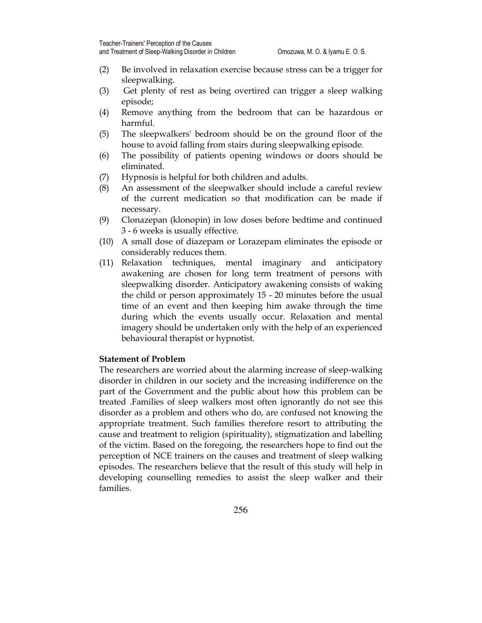- (2) Be involved in relaxation exercise because stress can be a trigger for sleepwalking.
- (3) Get plenty of rest as being overtired can trigger a sleep walking episode;
- (4) Remove anything from the bedroom that can be hazardous or harmful.
- (5) The sleepwalkers' bedroom should be on the ground floor of the house to avoid falling from stairs during sleepwalking episode.
- (6) The possibility of patients opening windows or doors should be eliminated.
- (7) Hypnosis is helpful for both children and adults.
- (8) An assessment of the sleepwalker should include a careful review of the current medication so that modification can be made if necessary.
- (9) Clonazepan (klonopin) in low doses before bedtime and continued 3 - 6 weeks is usually effective.
- (10) A small dose of diazepam or Lorazepam eliminates the episode or considerably reduces them.
- (11) Relaxation techniques, mental imaginary and anticipatory awakening are chosen for long term treatment of persons with sleepwalking disorder. Anticipatory awakening consists of waking the child or person approximately 15 - 20 minutes before the usual time of an event and then keeping him awake through the time during which the events usually occur. Relaxation and mental imagery should be undertaken only with the help of an experienced behavioural therapist or hypnotist.

## Statement of Problem

The researchers are worried about the alarming increase of sleep-walking disorder in children in our society and the increasing indifference on the part of the Government and the public about how this problem can be treated .Families of sleep walkers most often ignorantly do not see this disorder as a problem and others who do, are confused not knowing the appropriate treatment. Such families therefore resort to attributing the cause and treatment to religion (spirituality), stigmatization and labelling of the victim. Based on the foregoing, the researchers hope to find out the perception of NCE trainers on the causes and treatment of sleep walking episodes. The researchers believe that the result of this study will help in developing counselling remedies to assist the sleep walker and their families.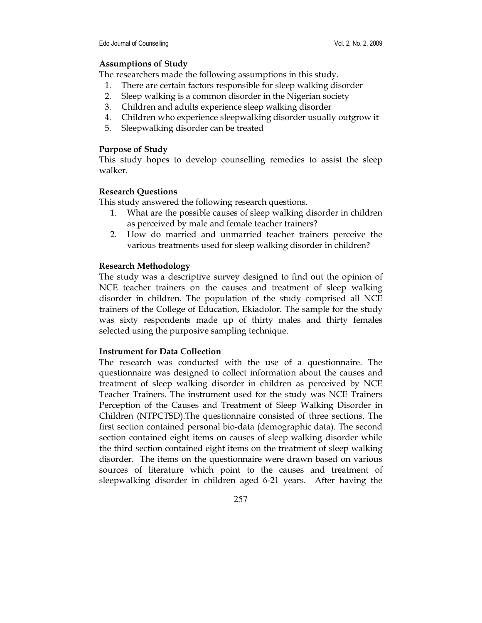## Assumptions of Study

The researchers made the following assumptions in this study.

- 1. There are certain factors responsible for sleep walking disorder
- 2. Sleep walking is a common disorder in the Nigerian society
- 3. Children and adults experience sleep walking disorder
- 4. Children who experience sleepwalking disorder usually outgrow it
- 5. Sleepwalking disorder can be treated

## Purpose of Study

This study hopes to develop counselling remedies to assist the sleep walker.

# Research Questions

This study answered the following research questions.

- 1. What are the possible causes of sleep walking disorder in children as perceived by male and female teacher trainers?
- 2. How do married and unmarried teacher trainers perceive the various treatments used for sleep walking disorder in children?

# Research Methodology

The study was a descriptive survey designed to find out the opinion of NCE teacher trainers on the causes and treatment of sleep walking disorder in children. The population of the study comprised all NCE trainers of the College of Education, Ekiadolor. The sample for the study was sixty respondents made up of thirty males and thirty females selected using the purposive sampling technique.

## Instrument for Data Collection

The research was conducted with the use of a questionnaire. The questionnaire was designed to collect information about the causes and treatment of sleep walking disorder in children as perceived by NCE Teacher Trainers. The instrument used for the study was NCE Trainers Perception of the Causes and Treatment of Sleep Walking Disorder in Children (NTPCTSD).The questionnaire consisted of three sections. The first section contained personal bio-data (demographic data). The second section contained eight items on causes of sleep walking disorder while the third section contained eight items on the treatment of sleep walking disorder. The items on the questionnaire were drawn based on various sources of literature which point to the causes and treatment of sleepwalking disorder in children aged 6-21 years. After having the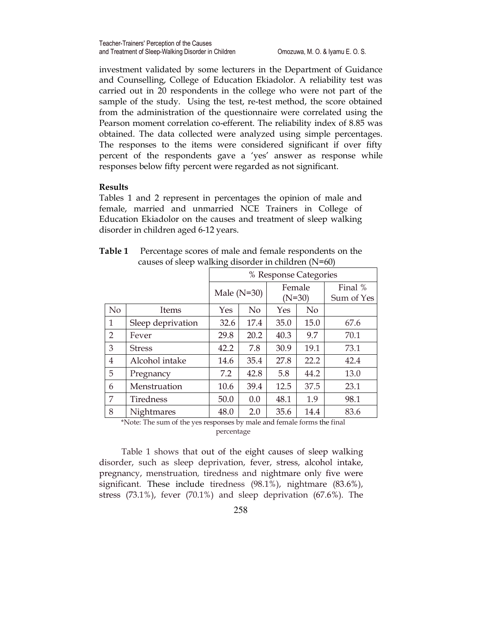investment validated by some lecturers in the Department of Guidance and Counselling, College of Education Ekiadolor. A reliability test was carried out in 20 respondents in the college who were not part of the sample of the study. Using the test, re-test method, the score obtained from the administration of the questionnaire were correlated using the Pearson moment correlation co-efferent. The reliability index of 8.85 was obtained. The data collected were analyzed using simple percentages. The responses to the items were considered significant if over fifty percent of the respondents gave a 'yes' answer as response while responses below fifty percent were regarded as not significant.

# Results

Tables 1 and 2 represent in percentages the opinion of male and female, married and unmarried NCE Trainers in College of Education Ekiadolor on the causes and treatment of sleep walking disorder in children aged 6-12 years.

|                | л.                | % Response Categories |                |                    |                |                       |  |
|----------------|-------------------|-----------------------|----------------|--------------------|----------------|-----------------------|--|
|                |                   | Male $(N=30)$         |                | Female<br>$(N=30)$ |                | Final %<br>Sum of Yes |  |
| N <sub>o</sub> | Items             | Yes                   | N <sub>o</sub> | Yes                | N <sub>o</sub> |                       |  |
| $\mathbf{1}$   | Sleep deprivation | 32.6                  | 17.4           | 35.0               | 15.0           | 67.6                  |  |
| $\overline{2}$ | Fever             | 29.8                  | 20.2           | 40.3               | 9.7            | 70.1                  |  |
| 3              | <b>Stress</b>     | 42.2                  | 7.8            | 30.9               | 19.1           | 73.1                  |  |
| $\overline{4}$ | Alcohol intake    | 14.6                  | 35.4           | 27.8               | 22.2           | 42.4                  |  |
| 5              | Pregnancy         | 7.2                   | 42.8           | 5.8                | 44.2           | 13.0                  |  |
| 6              | Menstruation      | 10.6                  | 39.4           | 12.5               | 37.5           | 23.1                  |  |
| 7              | Tiredness         | 50.0                  | 0.0            | 48.1               | 1.9            | 98.1                  |  |
| 8              | Nightmares        | 48.0                  | 2.0            | 35.6               | 14.4           | 83.6                  |  |

Table 1 Percentage scores of male and female respondents on the causes of sleep walking disorder in children (N=60)

\*Note: The sum of the yes responses by male and female forms the final percentage

Table 1 shows that out of the eight causes of sleep walking disorder, such as sleep deprivation, fever, stress, alcohol intake, pregnancy, menstruation, tiredness and nightmare only five were significant. These include tiredness (98.1%), nightmare (83.6%), stress (73.1%), fever (70.1%) and sleep deprivation (67.6%). The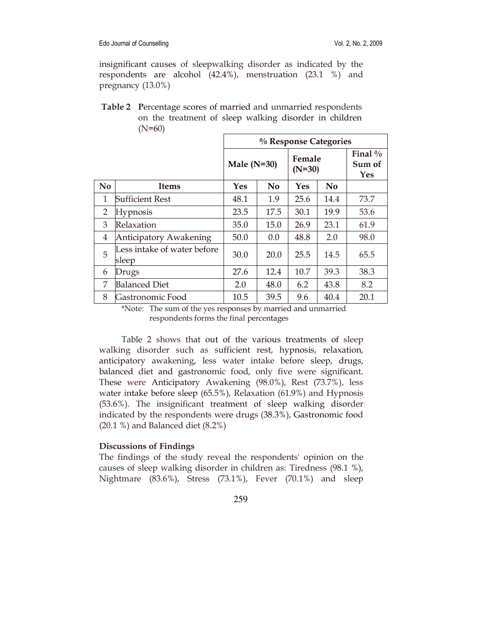insignificant causes of sleepwalking disorder as indicated by the respondents are alcohol (42.4%), menstruation (23.1 %) and pregnancy (13.0%)

|                | $(1 \times 1)$                       |                       |                |                    |                             |      |  |
|----------------|--------------------------------------|-----------------------|----------------|--------------------|-----------------------------|------|--|
|                |                                      | % Response Categories |                |                    |                             |      |  |
|                |                                      | Male $(N=30)$         |                | Female<br>$(N=30)$ | Final $\%$<br>Sum of<br>Yes |      |  |
| N <sub>0</sub> | <b>Items</b>                         | Yes                   | N <sub>0</sub> | <b>Yes</b>         | N <sub>0</sub>              |      |  |
| 1              | <b>Sufficient Rest</b>               | 48.1                  | 1.9            | 25.6               | 14.4                        | 73.7 |  |
| 2              | <b>Hypnosis</b>                      | 23.5                  | 17.5           | 30.1               | 19.9                        | 53.6 |  |
| 3              | Relaxation                           | 35.0                  | 15.0           | 26.9               | 23.1                        | 61.9 |  |
| 4              | <b>Anticipatory Awakening</b>        | 50.0                  | 0.0            | 48.8               | 2.0                         | 98.0 |  |
| 5              | Less intake of water before<br>sleep | 30.0                  | 20.0           | 25.5               | 14.5                        | 65.5 |  |
| 6              | Drugs                                | 27.6                  | 12.4           | 10.7               | 39.3                        | 38.3 |  |
| 7              | <b>Balanced Diet</b>                 | 2.0                   | 48.0           | 6.2                | 43.8                        | 8.2  |  |
| 8              | Gastronomic Food                     | 10.5                  | 39.5           | 9.6                | 40.4                        | 20.1 |  |

 Table 2 Percentage scores of married and unmarried respondents on the treatment of sleep walking disorder in children  $(N=60)$ 

\*Note: The sum of the yes responses by married and unmarried respondents forms the final percentages

Table 2 shows that out of the various treatments of sleep walking disorder such as sufficient rest, hypnosis, relaxation, anticipatory awakening, less water intake before sleep, drugs, balanced diet and gastronomic food, only five were significant. These were Anticipatory Awakening (98.0%), Rest (73.7%), less water intake before sleep (65.5%), Relaxation (61.9%) and Hypnosis (53.6%). The insignificant treatment of sleep walking disorder indicated by the respondents were drugs (38.3%), Gastronomic food  $(20.1\%)$  and Balanced diet  $(8.2\%)$ 

### Discussions of Findings

The findings of the study reveal the respondents' opinion on the causes of sleep walking disorder in children as: Tiredness (98.1 %), Nightmare (83.6%), Stress (73.1%), Fever (70.1%) and sleep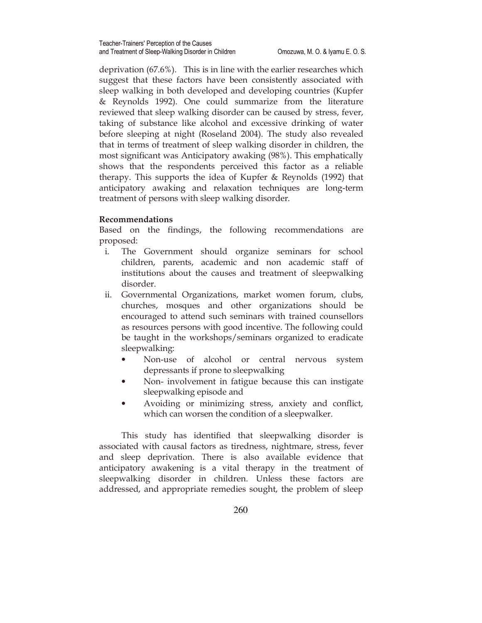deprivation (67.6%). This is in line with the earlier researches which suggest that these factors have been consistently associated with sleep walking in both developed and developing countries (Kupfer & Reynolds 1992). One could summarize from the literature reviewed that sleep walking disorder can be caused by stress, fever, taking of substance like alcohol and excessive drinking of water before sleeping at night (Roseland 2004). The study also revealed that in terms of treatment of sleep walking disorder in children, the most significant was Anticipatory awaking (98%). This emphatically shows that the respondents perceived this factor as a reliable therapy. This supports the idea of Kupfer & Reynolds (1992) that anticipatory awaking and relaxation techniques are long-term treatment of persons with sleep walking disorder.

# Recommendations

Based on the findings, the following recommendations are proposed:

- i. The Government should organize seminars for school children, parents, academic and non academic staff of institutions about the causes and treatment of sleepwalking disorder.
- ii. Governmental Organizations, market women forum, clubs, churches, mosques and other organizations should be encouraged to attend such seminars with trained counsellors as resources persons with good incentive. The following could be taught in the workshops/seminars organized to eradicate sleepwalking:
	- Non-use of alcohol or central nervous system depressants if prone to sleepwalking
	- Non- involvement in fatigue because this can instigate sleepwalking episode and
	- Avoiding or minimizing stress, anxiety and conflict, which can worsen the condition of a sleepwalker.

This study has identified that sleepwalking disorder is associated with causal factors as tiredness, nightmare, stress, fever and sleep deprivation. There is also available evidence that anticipatory awakening is a vital therapy in the treatment of sleepwalking disorder in children. Unless these factors are addressed, and appropriate remedies sought, the problem of sleep